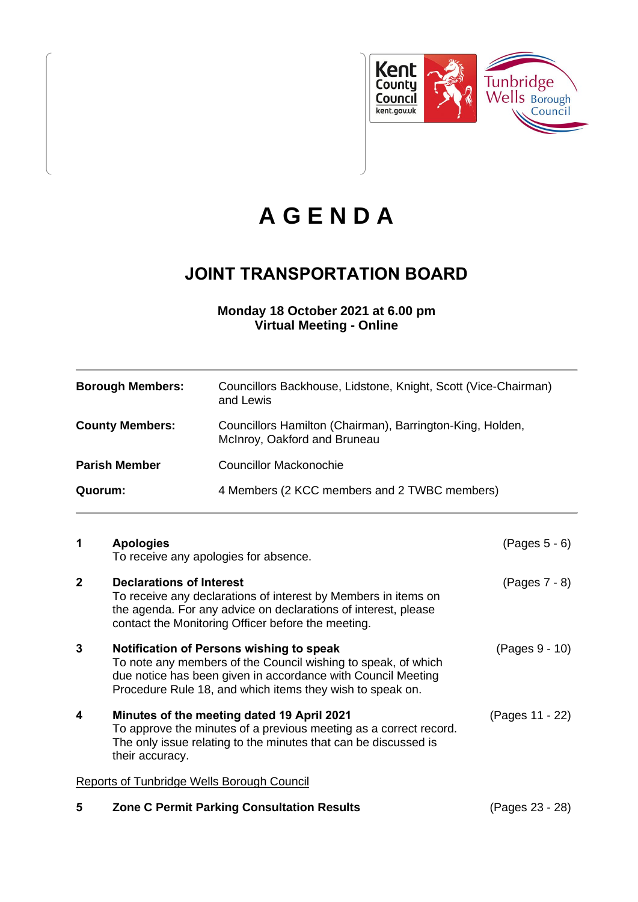

## **A G E N D A**

### **JOINT TRANSPORTATION BOARD**

**Monday 18 October 2021 at 6.00 pm Virtual Meeting - Online**

| <b>Borough Members:</b> | Councillors Backhouse, Lidstone, Knight, Scott (Vice-Chairman)<br>and Lewis               |
|-------------------------|-------------------------------------------------------------------------------------------|
| <b>County Members:</b>  | Councillors Hamilton (Chairman), Barrington-King, Holden,<br>McInroy, Oakford and Bruneau |
| <b>Parish Member</b>    | Councillor Mackonochie                                                                    |
| Quorum:                 | 4 Members (2 KCC members and 2 TWBC members)                                              |

| 1           | <b>Apologies</b><br>To receive any apologies for absence.                                                                                                                                                                              | (Pages 5 - 6)   |
|-------------|----------------------------------------------------------------------------------------------------------------------------------------------------------------------------------------------------------------------------------------|-----------------|
| $\mathbf 2$ | <b>Declarations of Interest</b><br>To receive any declarations of interest by Members in items on<br>the agenda. For any advice on declarations of interest, please<br>contact the Monitoring Officer before the meeting.              | $(Pages 7 - 8)$ |
| 3           | Notification of Persons wishing to speak<br>To note any members of the Council wishing to speak, of which<br>due notice has been given in accordance with Council Meeting<br>Procedure Rule 18, and which items they wish to speak on. | (Pages 9 - 10)  |
| 4           | Minutes of the meeting dated 19 April 2021<br>To approve the minutes of a previous meeting as a correct record.<br>The only issue relating to the minutes that can be discussed is<br>their accuracy.                                  | (Pages 11 - 22) |
|             | Reports of Tunbridge Wells Borough Council                                                                                                                                                                                             |                 |

**5 Zone C Permit Parking Consultation Results** (Pages 23 - 28)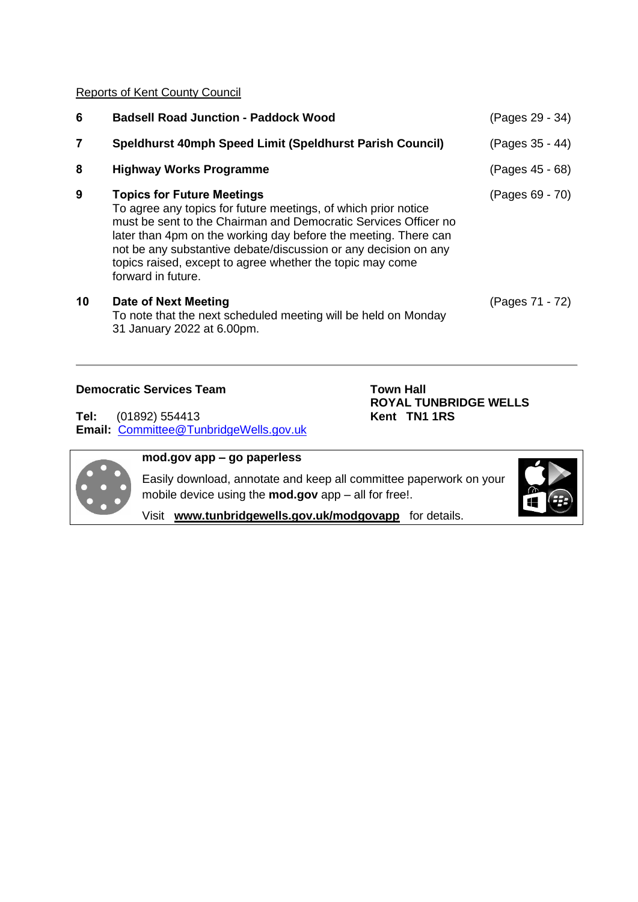### Reports of Kent County Council

| 6  | <b>Badsell Road Junction - Paddock Wood</b>                                                                                                                                                                                                                                                                                                                                                     | (Pages 29 - 34) |
|----|-------------------------------------------------------------------------------------------------------------------------------------------------------------------------------------------------------------------------------------------------------------------------------------------------------------------------------------------------------------------------------------------------|-----------------|
| 7  | Speldhurst 40mph Speed Limit (Speldhurst Parish Council)                                                                                                                                                                                                                                                                                                                                        | (Pages 35 - 44) |
| 8  | <b>Highway Works Programme</b>                                                                                                                                                                                                                                                                                                                                                                  | (Pages 45 - 68) |
| 9  | <b>Topics for Future Meetings</b><br>To agree any topics for future meetings, of which prior notice<br>must be sent to the Chairman and Democratic Services Officer no<br>later than 4pm on the working day before the meeting. There can<br>not be any substantive debate/discussion or any decision on any<br>topics raised, except to agree whether the topic may come<br>forward in future. | (Pages 69 - 70) |
| 10 | Date of Next Meeting<br>To note that the next scheduled meeting will be held on Monday<br>31 January 2022 at 6.00pm.                                                                                                                                                                                                                                                                            | (Pages 71 - 72) |

### **Democratic Services Team Town Hall**

**Tel:** (01892) 554413 **Email:** Committee@TunbridgeWells.gov.uk

# **ROYAL TUNBRIDGE WELLS**

#### **mod.gov app – go paperless**

Easily download, annotate and keep all committee paperwork on your mobile device using the **mod.gov** app – all for free!.



Visit **[www.tunbridgewells.gov.uk/modgovapp](http://www.tunbridgewells.gov.uk/modgovapp)** for details.